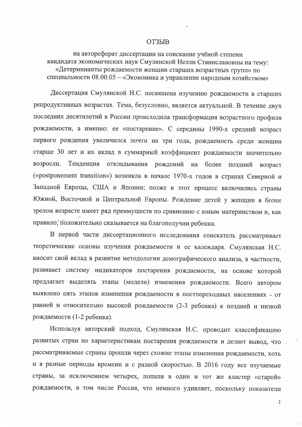## **ОТЗЫВ**

на автореферат диссертации на соискание учёной степени кандидата экономических наук Смулянской Нелли Станиславовны на тему: «Детерминанты рождаемости женщин старших возрастных групп» по специальности 08.00.05 - «Экономика и управление народным хозяйством»

Диссертация Смулянской Н.С. посвящена изучению рождаемости в старших репродуктивных возрастах. Тема, безусловно, является актуальной. В течение двух последних десятилетий в России происходила трансформация возрастного профиля рождаемости, а именно: ее «постарение». С середины 1990-х средний возраст первого рождения увеличился почти на три года, рождаемость среди женщин старше 30 лет и их вклад в суммарный коэффициент рождаемости значительно возросли. Тенденция откладывания рождений на более поздний возраст («postponement transition») возникла в начале 1970-х годов в странах Северной и Западной Европы, США и Японии; позже в этот процесс включились страны Южной, Восточной и Центральной Европы. Рождение детей у женщин в более зрелом возрасте имеет ряд преимуществ по сравнению с юным материнством и, как правило, положительно сказывается на благополучии ребенка.

В первой части диссертационного исследования соискатель рассматривает теоретические основы изучения рождаемости и ее календаря. Смулянская Н.С. вносит свой вклад в развитие методологии демографического анализа, в частности, развивает систему индикаторов постарения рождаемости, на основе которой предлагает выделять этапы (модели) изменения рождаемости. Всего автором выявлено пять этапов изменения рождаемости в постпереходных населениях - от ранней и относительно высокой рождаемости (2-3 ребенка) к поздней и низкой рождаемости (1-2 ребенка).

Используя авторский подход, Смулянская Н.С. проводит классификацию развитых стран по характеристикам постарения рождаемости и делает вывод, что рассматриваемые страны прошли через схожие этапы изменения рождаемости, хоть и в разные периоды времени и с разной скоростью. В 2016 году все изучаемые страны, за исключением четырех, попали в один и тот же кластер «старой» рождаемости, в том числе Россия, что немного удивляет, поскольку показатели

 $\mathbf{1}$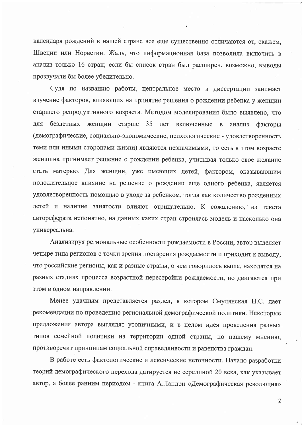календаря рождений в нашей стране все еще существенно отличаются от, скажем, Швеции или Норвегии. Жаль, что информационная база позволила включить в анализ только 16 стран; если бы список стран был расширен, возможно, выводы прозвучали бы более убедительно.

Судя по названию работы, центральное место в диссертации занимает изучение факторов, влияющих на принятие решения о рождении ребенка у женщин старшего репродуктивного возраста. Методом моделирования было выявлено, что ДЛЯ бездетных женщин старше 35 лет включенные в анализ факторы (демографические, социально-экономические, психологические - удовлетворенность теми или иными сторонами жизни) являются незначимыми, то есть в этом возрасте женщина принимает решение о рождении ребенка, учитывая только свое желание стать матерью. Для женщин, уже имеющих детей, фактором, оказывающим положительное влияние на решение о рождении еще одного ребенка, является удовлетворенность помощью в уходе за ребенком, тогда как количество рожденных детей и наличие занятости влияют отрицательно. К сожалению, из текста автореферата непонятно, на данных каких стран строилась модель и насколько она универсальна.

Анализируя региональные особенности рождаемости в России, автор выделяет четыре типа регионов с точки зрения постарения рождаемости и приходит к выводу, что российские регионы, как и разные страны, о чем говорилось выше, находятся на разных стадиях процесса возрастной перестройки рождаемости, но двигаются при этом в одном направлении.

Менее удачным представляется раздел, в котором Смулянская Н.С. дает рекомендации по проведению региональной демографической политики. Некоторые предложения автора выглядят утопичными, и в целом идея проведения разных типов семейной политики на территории одной страны, по нашему мнению, противоречит принципам социальной справедливости и равенства граждан.

В работе есть фактологические и лексические неточности. Начало разработки теорий демографического перехода датируется не серединой 20 века, как указывает автор, а более ранним периодом - книга А.Ландри «Демографическая революция»

 $\overline{2}$